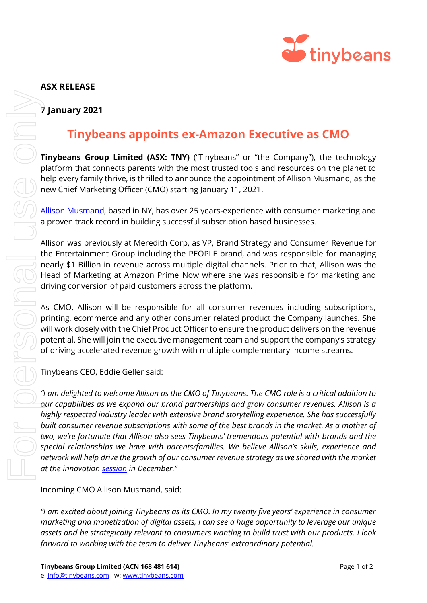

## **7 January 2021**

## **Tinybeans appoints ex-Amazon Executive as CMO**

**Tinybeans Group Limited (ASX: TNY)** ("Tinybeans" or "the Company"), the technology platform that connects parents with the most trusted tools and resources on the planet to help every family thrive, is thrilled to announce the appointment of Allison Musmand, as the new Chief Marketing Officer (CMO) starting January 11, 2021.

[Allison Musmand,](https://www.linkedin.com/in/allisonmusmand/) based in NY, has over 25 years-experience with consumer marketing and a proven track record in building successful subscription based businesses.

Allison was previously at Meredith Corp, as VP, Brand Strategy and Consumer Revenue for the Entertainment Group including the PEOPLE brand, and was responsible for managing nearly \$1 Billion in revenue across multiple digital channels. Prior to that, Allison was the Head of Marketing at Amazon Prime Now where she was responsible for marketing and driving conversion of paid customers across the platform.

As CMO, Allison will be responsible for all consumer revenues including subscriptions, printing, ecommerce and any other consumer related product the Company launches. She will work closely with the Chief Product Officer to ensure the product delivers on the revenue potential. She will join the executive management team and support the company's strategy of driving accelerated revenue growth with multiple complementary income streams.

Tinybeans CEO, Eddie Geller said:

*"I am delighted to welcome Allison as the CMO of Tinybeans. The CMO role is a critical addition to our capabilities as we expand our brand partnerships and grow consumer revenues. Allison is a highly respected industry leader with extensive brand storytelling experience. She has successfully built consumer revenue subscriptions with some of the best brands in the market. As a mother of two, we're fortunate that Allison also sees Tinybeans' tremendous potential with brands and the special relationships we have with parents/families. We believe Allison's skills, experience and network will help drive the growth of our consumer revenue strategy as we shared with the market at the innovatio[n session](https://cdn-api.markitdigital.com/apiman-gateway/ASX/asx-research/1.0/file/2924-02321084-2A1269662?access_token=83ff96335c2d45a094df02a206a39ff4) in December." f* January 2021<br> **forwards coupling to extraor for African for the Company**<br> **forwards coupling with the team to the team to deliver the team to deliver the team to the team to the team to the team to the team to th** 

Incoming CMO Allison Musmand, said:

*"I am excited about joining Tinybeans as its CMO. In my twenty five years' experience in consumer marketing and monetization of digital assets, I can see a huge opportunity to leverage our unique assets and be strategically relevant to consumers wanting to build trust with our products. I look*